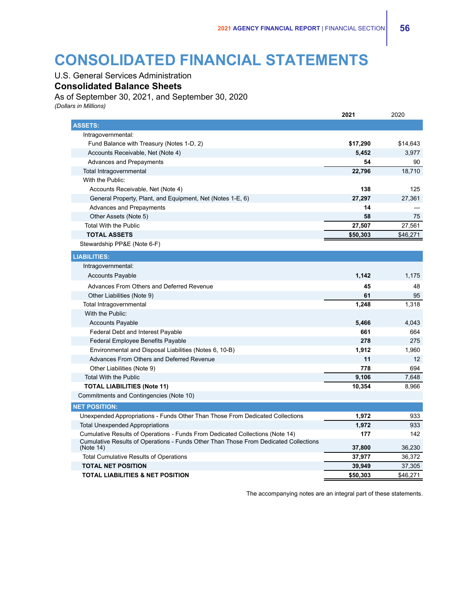# **CONSOLIDATED FINANCIAL STATEMENTS**

## U.S. General Services Administration

**Consolidated Balance Sheets**

As of September 30, 2021, and September 30, 2020

*(Dollars in Millions)*

|                                                                                                   | 2021     | 2020     |
|---------------------------------------------------------------------------------------------------|----------|----------|
| <b>ASSETS:</b>                                                                                    |          |          |
| Intragovernmental:                                                                                |          |          |
| Fund Balance with Treasury (Notes 1-D, 2)                                                         | \$17,290 | \$14,643 |
| Accounts Receivable, Net (Note 4)                                                                 | 5,452    | 3,977    |
| Advances and Prepayments                                                                          | 54       | 90       |
| Total Intragovernmental                                                                           | 22,796   | 18,710   |
| With the Public:                                                                                  |          |          |
| Accounts Receivable, Net (Note 4)                                                                 | 138      | 125      |
| General Property, Plant, and Equipment, Net (Notes 1-E, 6)                                        | 27,297   | 27,361   |
| Advances and Prepayments                                                                          | 14       |          |
| Other Assets (Note 5)                                                                             | 58       | 75       |
| <b>Total With the Public</b>                                                                      | 27,507   | 27,561   |
| <b>TOTAL ASSETS</b>                                                                               | \$50,303 | \$46,271 |
| Stewardship PP&E (Note 6-F)                                                                       |          |          |
| <b>LIABILITIES:</b>                                                                               |          |          |
| Intragovernmental:                                                                                |          |          |
| <b>Accounts Payable</b>                                                                           | 1,142    | 1,175    |
| Advances From Others and Deferred Revenue                                                         | 45       | 48       |
| Other Liabilities (Note 9)                                                                        | 61       | 95       |
| Total Intragovernmental                                                                           | 1,248    | 1,318    |
| With the Public:                                                                                  |          |          |
| <b>Accounts Payable</b>                                                                           | 5,466    | 4,043    |
| Federal Debt and Interest Payable                                                                 | 661      | 664      |
| Federal Employee Benefits Payable                                                                 | 278      | 275      |
| Environmental and Disposal Liabilities (Notes 6, 10-B)                                            | 1,912    | 1,960    |
| Advances From Others and Deferred Revenue                                                         | 11       | 12       |
| Other Liabilities (Note 9)                                                                        | 778      | 694      |
| <b>Total With the Public</b>                                                                      | 9,106    | 7,648    |
| <b>TOTAL LIABILITIES (Note 11)</b>                                                                | 10,354   | 8,966    |
| Commitments and Contingencies (Note 10)                                                           |          |          |
| <b>NET POSITION:</b>                                                                              |          |          |
| Unexpended Appropriations - Funds Other Than Those From Dedicated Collections                     | 1,972    | 933      |
| <b>Total Unexpended Appropriations</b>                                                            | 1,972    | 933      |
| Cumulative Results of Operations - Funds From Dedicated Collections (Note 14)                     | 177      | 142      |
| Cumulative Results of Operations - Funds Other Than Those From Dedicated Collections<br>(Note 14) | 37,800   | 36,230   |
| <b>Total Cumulative Results of Operations</b>                                                     | 37,977   | 36,372   |
| <b>TOTAL NET POSITION</b>                                                                         | 39,949   | 37,305   |
| <b>TOTAL LIABILITIES &amp; NET POSITION</b>                                                       | \$50,303 | \$46,271 |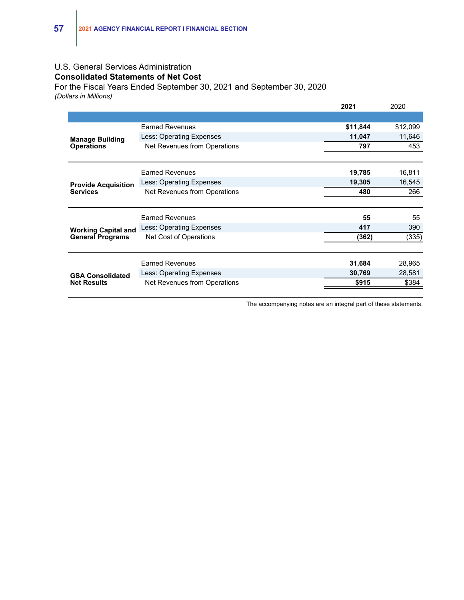## U.S. General Services Administration **Consolidated Statements of Net Cost**

For the Fiscal Years Ended September 30, 2021 and September 30, 2020 *(Dollars in Millions)*

|                                                       |                                 | 2021     | 2020     |
|-------------------------------------------------------|---------------------------------|----------|----------|
|                                                       |                                 |          |          |
| <b>Manage Building</b><br><b>Operations</b>           | <b>Earned Revenues</b>          | \$11,844 | \$12,099 |
|                                                       | Less: Operating Expenses        | 11,047   | 11,646   |
|                                                       | Net Revenues from Operations    | 797      | 453      |
|                                                       |                                 |          |          |
|                                                       | <b>Earned Revenues</b>          | 19,785   | 16,811   |
| <b>Provide Acquisition</b>                            | Less: Operating Expenses        | 19,305   | 16,545   |
| <b>Services</b>                                       | Net Revenues from Operations    | 480      | 266      |
|                                                       |                                 |          |          |
| <b>Working Capital and</b><br><b>General Programs</b> | <b>Earned Revenues</b>          | 55       | 55       |
|                                                       | Less: Operating Expenses        | 417      | 390      |
|                                                       | Net Cost of Operations          | (362)    | (335)    |
|                                                       |                                 |          |          |
| <b>GSA Consolidated</b><br><b>Net Results</b>         | <b>Earned Revenues</b>          | 31,684   | 28,965   |
|                                                       | <b>Less: Operating Expenses</b> | 30,769   | 28,581   |
|                                                       | Net Revenues from Operations    | \$915    | \$384    |
|                                                       |                                 |          |          |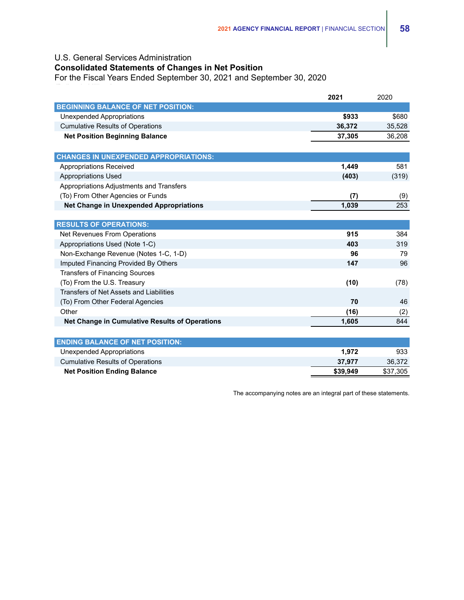#### U.S. General Services Administration

## **Consolidated Statements of Changes in Net Position**

For the Fiscal Years Ended September 30, 2021 and September 30, 2020

|                                                | 2021   | 2020   |
|------------------------------------------------|--------|--------|
| <b>BEGINNING BALANCE OF NET POSITION:</b>      |        |        |
| Unexpended Appropriations                      | \$933  | \$680  |
| <b>Cumulative Results of Operations</b>        | 36,372 | 35,528 |
| <b>Net Position Beginning Balance</b>          | 37,305 | 36,208 |
|                                                |        |        |
| <b>CHANGES IN UNEXPENDED APPROPRIATIONS:</b>   |        |        |
| Appropriations Received                        | 1,449  | 581    |
| <b>Appropriations Used</b>                     | (403)  | (319)  |
| Appropriations Adjustments and Transfers       |        |        |
| (To) From Other Agencies or Funds              | (7)    | (9)    |
| <b>Net Change in Unexpended Appropriations</b> | 1,039  | 253    |
|                                                |        |        |
| <b>RESULTS OF OPERATIONS:</b>                  |        |        |
| Net Revenues From Operations                   | 915    | 384    |
| Appropriations Used (Note 1-C)                 | 403    | 319    |
| Non-Exchange Revenue (Notes 1-C, 1-D)          | 96     | 79     |
| Imputed Financing Provided By Others           | 147    | 96     |
| <b>Transfers of Financing Sources</b>          |        |        |
| (To) From the U.S. Treasury                    | (10)   | (78)   |
| Transfers of Net Assets and Liabilities        |        |        |
| (To) From Other Federal Agencies               | 70     | 46     |
| Other                                          | (16)   | (2)    |
| Net Change in Cumulative Results of Operations | 1,605  | 844    |
|                                                |        |        |
| <b>ENDING BALANCE OF NET POSITION:</b>         |        |        |
| <b>Unexpended Appropriations</b>               | 1,972  | 933    |
| <b>Cumulative Results of Operations</b>        | 37.977 | 36,372 |

**Net Position Ending Balance \$39,949** \$37,305